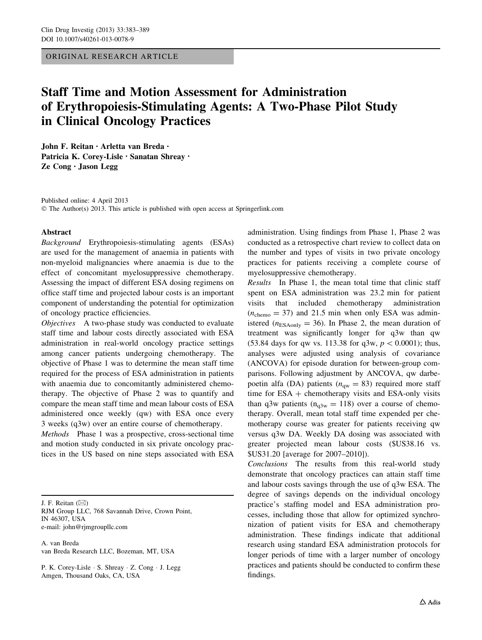ORIGINAL RESEARCH ARTICLE

# Staff Time and Motion Assessment for Administration of Erythropoiesis-Stimulating Agents: A Two-Phase Pilot Study in Clinical Oncology Practices

John F. Reitan • Arletta van Breda • Patricia K. Corey-Lisle • Sanatan Shreay • Ze Cong • Jason Legg

Published online: 4 April 2013 © The Author(s) 2013. This article is published with open access at Springerlink.com

# Abstract

Background Erythropoiesis-stimulating agents (ESAs) are used for the management of anaemia in patients with non-myeloid malignancies where anaemia is due to the effect of concomitant myelosuppressive chemotherapy. Assessing the impact of different ESA dosing regimens on office staff time and projected labour costs is an important component of understanding the potential for optimization of oncology practice efficiencies.

Objectives A two-phase study was conducted to evaluate staff time and labour costs directly associated with ESA administration in real-world oncology practice settings among cancer patients undergoing chemotherapy. The objective of Phase 1 was to determine the mean staff time required for the process of ESA administration in patients with anaemia due to concomitantly administered chemotherapy. The objective of Phase 2 was to quantify and compare the mean staff time and mean labour costs of ESA administered once weekly (qw) with ESA once every 3 weeks (q3w) over an entire course of chemotherapy.

Methods Phase 1 was a prospective, cross-sectional time and motion study conducted in six private oncology practices in the US based on nine steps associated with ESA

J. F. Reitan  $(\boxtimes)$ 

RJM Group LLC, 768 Savannah Drive, Crown Point, IN 46307, USA e-mail: john@rjmgroupllc.com

A. van Breda van Breda Research LLC, Bozeman, MT, USA

P. K. Corey-Lisle · S. Shreay · Z. Cong · J. Legg Amgen, Thousand Oaks, CA, USA

administration. Using findings from Phase 1, Phase 2 was conducted as a retrospective chart review to collect data on the number and types of visits in two private oncology practices for patients receiving a complete course of myelosuppressive chemotherapy.

Results In Phase 1, the mean total time that clinic staff spent on ESA administration was 23.2 min for patient visits that included chemotherapy administration  $(n_{\text{chemo}} = 37)$  and 21.5 min when only ESA was administered ( $n_{\text{ESAonly}} = 36$ ). In Phase 2, the mean duration of treatment was significantly longer for q3w than qw (53.84 days for qw vs. 113.38 for q3w,  $p < 0.0001$ ); thus, analyses were adjusted using analysis of covariance (ANCOVA) for episode duration for between-group comparisons. Following adjustment by ANCOVA, qw darbepoetin alfa (DA) patients ( $n_{\text{qw}} = 83$ ) required more staff time for  $ESA +$  chemotherapy visits and  $ESA$ -only visits than q3w patients ( $n_{q3w} = 118$ ) over a course of chemotherapy. Overall, mean total staff time expended per chemotherapy course was greater for patients receiving qw versus q3w DA. Weekly DA dosing was associated with greater projected mean labour costs (\$US38.16 vs. \$US31.20 [average for 2007–2010]).

Conclusions The results from this real-world study demonstrate that oncology practices can attain staff time and labour costs savings through the use of q3w ESA. The degree of savings depends on the individual oncology practice's staffing model and ESA administration processes, including those that allow for optimized synchronization of patient visits for ESA and chemotherapy administration. These findings indicate that additional research using standard ESA administration protocols for longer periods of time with a larger number of oncology practices and patients should be conducted to confirm these findings.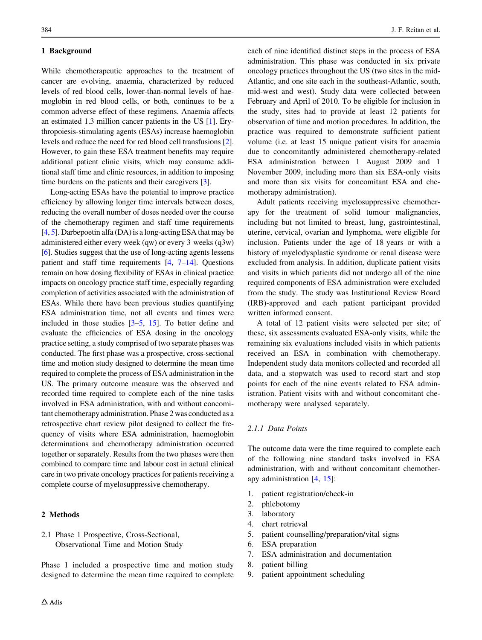#### 1 Background

While chemotherapeutic approaches to the treatment of cancer are evolving, anaemia, characterized by reduced levels of red blood cells, lower-than-normal levels of haemoglobin in red blood cells, or both, continues to be a common adverse effect of these regimens. Anaemia affects an estimated 1.3 million cancer patients in the US [\[1\]](#page-6-0). Erythropoiesis-stimulating agents (ESAs) increase haemoglobin levels and reduce the need for red blood cell transfusions [[2](#page-6-0)]. However, to gain these ESA treatment benefits may require additional patient clinic visits, which may consume additional staff time and clinic resources, in addition to imposing time burdens on the patients and their caregivers [\[3\]](#page-6-0).

Long-acting ESAs have the potential to improve practice efficiency by allowing longer time intervals between doses, reducing the overall number of doses needed over the course of the chemotherapy regimen and staff time requirements [\[4](#page-6-0), [5](#page-6-0)]. Darbepoetin alfa (DA) is a long-acting ESA that may be administered either every week (qw) or every 3 weeks (q3w) [\[6](#page-6-0)]. Studies suggest that the use of long-acting agents lessens patient and staff time requirements [\[4,](#page-6-0) [7–14](#page-6-0)]. Questions remain on how dosing flexibility of ESAs in clinical practice impacts on oncology practice staff time, especially regarding completion of activities associated with the administration of ESAs. While there have been previous studies quantifying ESA administration time, not all events and times were included in those studies [\[3–5,](#page-6-0) [15](#page-6-0)]. To better define and evaluate the efficiencies of ESA dosing in the oncology practice setting, a study comprised of two separate phases was conducted. The first phase was a prospective, cross-sectional time and motion study designed to determine the mean time required to complete the process of ESA administration in the US. The primary outcome measure was the observed and recorded time required to complete each of the nine tasks involved in ESA administration, with and without concomitant chemotherapy administration. Phase 2 was conducted as a retrospective chart review pilot designed to collect the frequency of visits where ESA administration, haemoglobin determinations and chemotherapy administration occurred together or separately. Results from the two phases were then combined to compare time and labour cost in actual clinical care in two private oncology practices for patients receiving a complete course of myelosuppressive chemotherapy.

# 2 Methods

2.1 Phase 1 Prospective, Cross-Sectional, Observational Time and Motion Study

Phase 1 included a prospective time and motion study designed to determine the mean time required to complete each of nine identified distinct steps in the process of ESA administration. This phase was conducted in six private oncology practices throughout the US (two sites in the mid-Atlantic, and one site each in the southeast-Atlantic, south, mid-west and west). Study data were collected between February and April of 2010. To be eligible for inclusion in the study, sites had to provide at least 12 patients for observation of time and motion procedures. In addition, the practice was required to demonstrate sufficient patient volume (i.e. at least 15 unique patient visits for anaemia due to concomitantly administered chemotherapy-related ESA administration between 1 August 2009 and 1 November 2009, including more than six ESA-only visits and more than six visits for concomitant ESA and chemotherapy administration).

Adult patients receiving myelosuppressive chemotherapy for the treatment of solid tumour malignancies, including but not limited to breast, lung, gastrointestinal, uterine, cervical, ovarian and lymphoma, were eligible for inclusion. Patients under the age of 18 years or with a history of myelodysplastic syndrome or renal disease were excluded from analysis. In addition, duplicate patient visits and visits in which patients did not undergo all of the nine required components of ESA administration were excluded from the study. The study was Institutional Review Board (IRB)-approved and each patient participant provided written informed consent.

A total of 12 patient visits were selected per site; of these, six assessments evaluated ESA-only visits, while the remaining six evaluations included visits in which patients received an ESA in combination with chemotherapy. Independent study data monitors collected and recorded all data, and a stopwatch was used to record start and stop points for each of the nine events related to ESA administration. Patient visits with and without concomitant chemotherapy were analysed separately.

# 2.1.1 Data Points

The outcome data were the time required to complete each of the following nine standard tasks involved in ESA administration, with and without concomitant chemotherapy administration [\[4](#page-6-0), [15](#page-6-0)]:

- 1. patient registration/check-in
- 2. phlebotomy
- 3. laboratory
- 4. chart retrieval
- 5. patient counselling/preparation/vital signs
- 6. ESA preparation
- 7. ESA administration and documentation
- 8. patient billing
- 9. patient appointment scheduling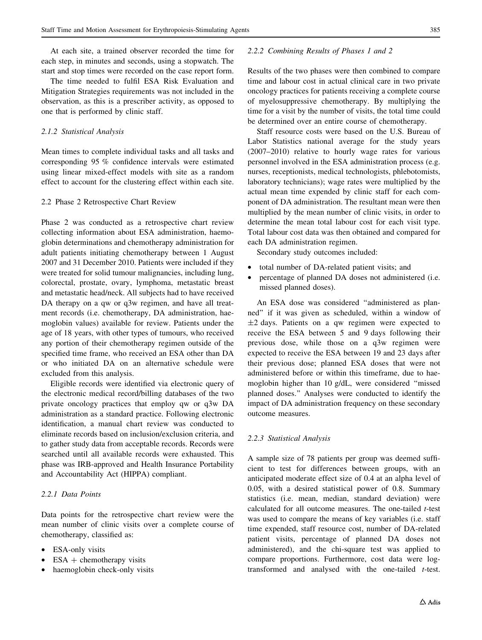At each site, a trained observer recorded the time for each step, in minutes and seconds, using a stopwatch. The start and stop times were recorded on the case report form.

The time needed to fulfil ESA Risk Evaluation and Mitigation Strategies requirements was not included in the observation, as this is a prescriber activity, as opposed to one that is performed by clinic staff.

# 2.1.2 Statistical Analysis

Mean times to complete individual tasks and all tasks and corresponding 95 % confidence intervals were estimated using linear mixed-effect models with site as a random effect to account for the clustering effect within each site.

# 2.2 Phase 2 Retrospective Chart Review

Phase 2 was conducted as a retrospective chart review collecting information about ESA administration, haemoglobin determinations and chemotherapy administration for adult patients initiating chemotherapy between 1 August 2007 and 31 December 2010. Patients were included if they were treated for solid tumour malignancies, including lung, colorectal, prostate, ovary, lymphoma, metastatic breast and metastatic head/neck. All subjects had to have received DA therapy on a qw or q3w regimen, and have all treatment records (i.e. chemotherapy, DA administration, haemoglobin values) available for review. Patients under the age of 18 years, with other types of tumours, who received any portion of their chemotherapy regimen outside of the specified time frame, who received an ESA other than DA or who initiated DA on an alternative schedule were excluded from this analysis.

Eligible records were identified via electronic query of the electronic medical record/billing databases of the two private oncology practices that employ qw or q3w DA administration as a standard practice. Following electronic identification, a manual chart review was conducted to eliminate records based on inclusion/exclusion criteria, and to gather study data from acceptable records. Records were searched until all available records were exhausted. This phase was IRB-approved and Health Insurance Portability and Accountability Act (HIPPA) compliant.

# 2.2.1 Data Points

Data points for the retrospective chart review were the mean number of clinic visits over a complete course of chemotherapy, classified as:

- ESA-only visits
- $ESA + chemotherapy$  visits
- haemoglobin check-only visits

# 2.2.2 Combining Results of Phases 1 and 2

Results of the two phases were then combined to compare time and labour cost in actual clinical care in two private oncology practices for patients receiving a complete course of myelosuppressive chemotherapy. By multiplying the time for a visit by the number of visits, the total time could be determined over an entire course of chemotherapy.

Staff resource costs were based on the U.S. Bureau of Labor Statistics national average for the study years (2007–2010) relative to hourly wage rates for various personnel involved in the ESA administration process (e.g. nurses, receptionists, medical technologists, phlebotomists, laboratory technicians); wage rates were multiplied by the actual mean time expended by clinic staff for each component of DA administration. The resultant mean were then multiplied by the mean number of clinic visits, in order to determine the mean total labour cost for each visit type. Total labour cost data was then obtained and compared for each DA administration regimen.

Secondary study outcomes included:

- total number of DA-related patient visits; and
- percentage of planned DA doses not administered (i.e. missed planned doses).

An ESA dose was considered ''administered as planned'' if it was given as scheduled, within a window of  $\pm$ 2 days. Patients on a qw regimen were expected to receive the ESA between 5 and 9 days following their previous dose, while those on a q3w regimen were expected to receive the ESA between 19 and 23 days after their previous dose; planned ESA doses that were not administered before or within this timeframe, due to haemoglobin higher than 10 g/dL, were considered ''missed planned doses.'' Analyses were conducted to identify the impact of DA administration frequency on these secondary outcome measures.

#### 2.2.3 Statistical Analysis

A sample size of 78 patients per group was deemed sufficient to test for differences between groups, with an anticipated moderate effect size of 0.4 at an alpha level of 0.05, with a desired statistical power of 0.8. Summary statistics (i.e. mean, median, standard deviation) were calculated for all outcome measures. The one-tailed t-test was used to compare the means of key variables (i.e. staff time expended, staff resource cost, number of DA-related patient visits, percentage of planned DA doses not administered), and the chi-square test was applied to compare proportions. Furthermore, cost data were logtransformed and analysed with the one-tailed t-test.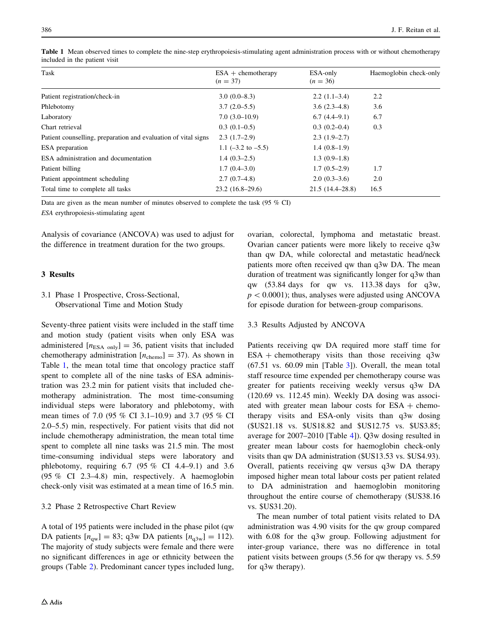| Task                                                           | $ESA + chemotherapy$<br>$(n = 37)$ | ESA-only<br>$(n = 36)$ | Haemoglobin check-only |
|----------------------------------------------------------------|------------------------------------|------------------------|------------------------|
| Patient registration/check-in                                  | $3.0(0.0-8.3)$                     | $2.2(1.1-3.4)$         | 2.2                    |
| Phlebotomy                                                     | $3.7(2.0-5.5)$                     | $3.6(2.3-4.8)$         | 3.6                    |
| Laboratory                                                     | $7.0(3.0-10.9)$                    | $6.7(4.4-9.1)$         | 6.7                    |
| Chart retrieval                                                | $0.3(0.1-0.5)$                     | $0.3(0.2-0.4)$         | 0.3                    |
| Patient counselling, preparation and evaluation of vital signs | $2.3(1.7-2.9)$                     | $2.3(1.9-2.7)$         |                        |
| ESA preparation                                                | 1.1 $(-3.2 \text{ to } -5.5)$      | $1.4(0.8-1.9)$         |                        |
| ESA administration and documentation                           | $1.4(0.3-2.5)$                     | $1.3(0.9-1.8)$         |                        |
| Patient billing                                                | $1.7(0.4-3.0)$                     | $1.7(0.5-2.9)$         | 1.7                    |
| Patient appointment scheduling                                 | $2.7(0.7-4.8)$                     | $2.0(0.3-3.6)$         | 2.0                    |
| Total time to complete all tasks                               | $23.2(16.8-29.6)$                  | $21.5(14.4 - 28.8)$    | 16.5                   |

Table 1 Mean observed times to complete the nine-step erythropoiesis-stimulating agent administration process with or without chemotherapy included in the patient visit

Data are given as the mean number of minutes observed to complete the task (95 % CI)

ESA erythropoiesis-stimulating agent

Analysis of covariance (ANCOVA) was used to adjust for the difference in treatment duration for the two groups.

#### 3 Results

# 3.1 Phase 1 Prospective, Cross-Sectional, Observational Time and Motion Study

Seventy-three patient visits were included in the staff time and motion study (patient visits when only ESA was administered  $[n<sub>ESA only</sub>] = 36$ , patient visits that included chemotherapy administration  $[n_{\text{chemo}}] = 37$ ). As shown in Table 1, the mean total time that oncology practice staff spent to complete all of the nine tasks of ESA administration was 23.2 min for patient visits that included chemotherapy administration. The most time-consuming individual steps were laboratory and phlebotomy, with mean times of 7.0 (95 % CI 3.1–10.9) and 3.7 (95 % CI 2.0–5.5) min, respectively. For patient visits that did not include chemotherapy administration, the mean total time spent to complete all nine tasks was 21.5 min. The most time-consuming individual steps were laboratory and phlebotomy, requiring 6.7 (95 % CI 4.4–9.1) and 3.6 (95 % CI 2.3–4.8) min, respectively. A haemoglobin check-only visit was estimated at a mean time of 16.5 min.

# 3.2 Phase 2 Retrospective Chart Review

A total of 195 patients were included in the phase pilot (qw DA patients  $[n_{\text{gw}}] = 83$ ; q3w DA patients  $[n_{\text{q3w}}] = 112$ ). The majority of study subjects were female and there were no significant differences in age or ethnicity between the groups (Table [2\)](#page-4-0). Predominant cancer types included lung,

ovarian, colorectal, lymphoma and metastatic breast. Ovarian cancer patients were more likely to receive q3w than qw DA, while colorectal and metastatic head/neck patients more often received qw than q3w DA. The mean duration of treatment was significantly longer for q3w than qw (53.84 days for qw vs. 113.38 days for q3w,  $p\lt 0.0001$ ; thus, analyses were adjusted using ANCOVA for episode duration for between-group comparisons.

# 3.3 Results Adjusted by ANCOVA

Patients receiving qw DA required more staff time for  $ESA + chemotherapy$  visits than those receiving q3w  $(67.51 \text{ vs. } 60.09 \text{ min}$  [Table [3\]](#page-5-0)). Overall, the mean total staff resource time expended per chemotherapy course was greater for patients receiving weekly versus q3w DA (120.69 vs. 112.45 min). Weekly DA dosing was associated with greater mean labour costs for  $ESA + chemo$ therapy visits and ESA-only visits than q3w dosing (\$US21.18 vs. \$US18.82 and \$US12.75 vs. \$US3.85; average for 2007–2010 [Table [4](#page-5-0)]). Q3w dosing resulted in greater mean labour costs for haemoglobin check-only visits than qw DA administration (\$US13.53 vs. \$US4.93). Overall, patients receiving qw versus q3w DA therapy imposed higher mean total labour costs per patient related to DA administration and haemoglobin monitoring throughout the entire course of chemotherapy (\$US38.16 vs. \$US31.20).

The mean number of total patient visits related to DA administration was 4.90 visits for the qw group compared with 6.08 for the q3w group. Following adjustment for inter-group variance, there was no difference in total patient visits between groups (5.56 for qw therapy vs. 5.59 for q3w therapy).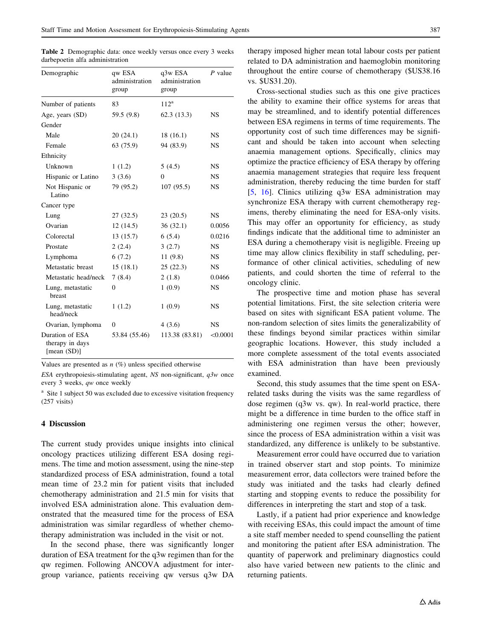<span id="page-4-0"></span>Table 2 Demographic data: once weekly versus once every 3 weeks darbepoetin alfa administration

| Demographic                                       | qw ESA<br>administration<br>group | q3w ESA<br>administration<br>group | $P$ value |
|---------------------------------------------------|-----------------------------------|------------------------------------|-----------|
| Number of patients                                | 83                                | $112^a$                            |           |
| Age, years (SD)                                   | 59.5 (9.8)                        | 62.3(13.3)                         | <b>NS</b> |
| Gender                                            |                                   |                                    |           |
| Male                                              | 20(24.1)                          | 18(16.1)                           | <b>NS</b> |
| Female                                            | 63 (75.9)                         | 94 (83.9)                          | <b>NS</b> |
| Ethnicity                                         |                                   |                                    |           |
| Unknown                                           | 1(1.2)                            | 5(4.5)                             | <b>NS</b> |
| Hispanic or Latino                                | 3(3.6)                            | $\theta$                           | <b>NS</b> |
| Not Hispanic or<br>Latino                         | 79 (95.2)                         | 107(95.5)                          | <b>NS</b> |
| Cancer type                                       |                                   |                                    |           |
| Lung                                              | 27(32.5)                          | 23(20.5)                           | <b>NS</b> |
| Ovarian                                           | 12(14.5)                          | 36(32.1)                           | 0.0056    |
| Colorectal                                        | 13(15.7)                          | 6(5.4)                             | 0.0216    |
| Prostate                                          | 2(2.4)                            | 3(2.7)                             | <b>NS</b> |
| Lymphoma                                          | 6(7.2)                            | 11(9.8)                            | <b>NS</b> |
| Metastatic breast                                 | 15(18.1)                          | 25(22.3)                           | <b>NS</b> |
| Metastatic head/neck                              | 7(8.4)                            | 2(1.8)                             | 0.0466    |
| Lung, metastatic<br>breast                        | $\theta$                          | 1(0.9)                             | <b>NS</b> |
| Lung, metastatic<br>head/neck                     | 1(1.2)                            | 1(0.9)                             | <b>NS</b> |
| Ovarian, lymphoma                                 | $\Omega$                          | 4(3.6)                             | <b>NS</b> |
| Duration of ESA<br>therapy in days<br>[mean (SD)] | 53.84 (55.46)                     | 113.38 (83.81)                     | < 0.0001  |

Values are presented as  $n$  (%) unless specified otherwise

ESA erythropoiesis-stimulating agent, NS non-significant,  $q3w$  once every 3 weeks, qw once weekly

Site 1 subject 50 was excluded due to excessive visitation frequency (257 visits)

# 4 Discussion

The current study provides unique insights into clinical oncology practices utilizing different ESA dosing regimens. The time and motion assessment, using the nine-step standardized process of ESA administration, found a total mean time of 23.2 min for patient visits that included chemotherapy administration and 21.5 min for visits that involved ESA administration alone. This evaluation demonstrated that the measured time for the process of ESA administration was similar regardless of whether chemotherapy administration was included in the visit or not.

In the second phase, there was significantly longer duration of ESA treatment for the q3w regimen than for the qw regimen. Following ANCOVA adjustment for intergroup variance, patients receiving qw versus q3w DA therapy imposed higher mean total labour costs per patient related to DA administration and haemoglobin monitoring throughout the entire course of chemotherapy (\$US38.16 vs. \$US31.20).

Cross-sectional studies such as this one give practices the ability to examine their office systems for areas that may be streamlined, and to identify potential differences between ESA regimens in terms of time requirements. The opportunity cost of such time differences may be significant and should be taken into account when selecting anaemia management options. Specifically, clinics may optimize the practice efficiency of ESA therapy by offering anaemia management strategies that require less frequent administration, thereby reducing the time burden for staff [\[5](#page-6-0), [16](#page-6-0)]. Clinics utilizing q3w ESA administration may synchronize ESA therapy with current chemotherapy regimens, thereby eliminating the need for ESA-only visits. This may offer an opportunity for efficiency, as study findings indicate that the additional time to administer an ESA during a chemotherapy visit is negligible. Freeing up time may allow clinics flexibility in staff scheduling, performance of other clinical activities, scheduling of new patients, and could shorten the time of referral to the oncology clinic.

The prospective time and motion phase has several potential limitations. First, the site selection criteria were based on sites with significant ESA patient volume. The non-random selection of sites limits the generalizability of these findings beyond similar practices within similar geographic locations. However, this study included a more complete assessment of the total events associated with ESA administration than have been previously examined.

Second, this study assumes that the time spent on ESArelated tasks during the visits was the same regardless of dose regimen (q3w vs. qw). In real-world practice, there might be a difference in time burden to the office staff in administering one regimen versus the other; however, since the process of ESA administration within a visit was standardized, any difference is unlikely to be substantive.

Measurement error could have occurred due to variation in trained observer start and stop points. To minimize measurement error, data collectors were trained before the study was initiated and the tasks had clearly defined starting and stopping events to reduce the possibility for differences in interpreting the start and stop of a task.

Lastly, if a patient had prior experience and knowledge with receiving ESAs, this could impact the amount of time a site staff member needed to spend counselling the patient and monitoring the patient after ESA administration. The quantity of paperwork and preliminary diagnostics could also have varied between new patients to the clinic and returning patients.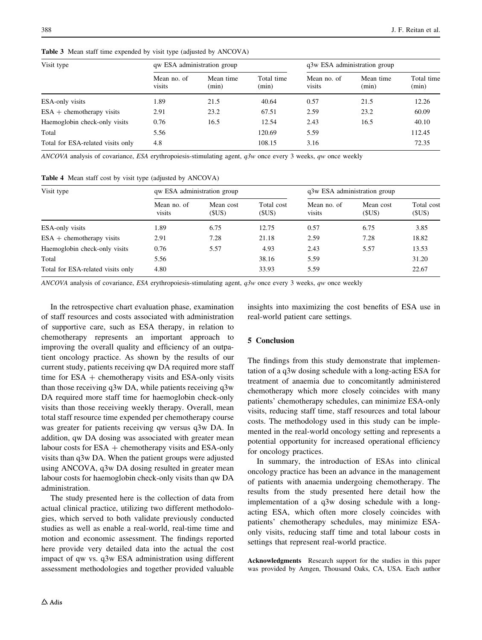| Visit type                        | qw ESA administration group |                    |                     | q3w ESA administration group |                    |                     |
|-----------------------------------|-----------------------------|--------------------|---------------------|------------------------------|--------------------|---------------------|
|                                   | Mean no. of<br>visits       | Mean time<br>(min) | Total time<br>(min) | Mean no. of<br>visits        | Mean time<br>(min) | Total time<br>(min) |
| ESA-only visits                   | 1.89                        | 21.5               | 40.64               | 0.57                         | 21.5               | 12.26               |
| $ESA + chemotherapy$ visits       | 2.91                        | 23.2               | 67.51               | 2.59                         | 23.2               | 60.09               |
| Haemoglobin check-only visits     | 0.76                        | 16.5               | 12.54               | 2.43                         | 16.5               | 40.10               |
| Total                             | 5.56                        |                    | 120.69              | 5.59                         |                    | 112.45              |
| Total for ESA-related visits only | 4.8                         |                    | 108.15              | 3.16                         |                    | 72.35               |

<span id="page-5-0"></span>Table 3 Mean staff time expended by visit type (adjusted by ANCOVA)

ANCOVA analysis of covariance, ESA erythropoiesis-stimulating agent,  $q_3w$  once every 3 weeks, qw once weekly

Table 4 Mean staff cost by visit type (adjusted by ANCOVA)

| Visit type                        | qw ESA administration group |                    |                     | q3w ESA administration group |                    |                     |
|-----------------------------------|-----------------------------|--------------------|---------------------|------------------------------|--------------------|---------------------|
|                                   | Mean no. of<br>visits       | Mean cost<br>(SUS) | Total cost<br>(SUS) | Mean no. of<br>visits        | Mean cost<br>(SUS) | Total cost<br>(SUS) |
| <b>ESA-only visits</b>            | 1.89                        | 6.75               | 12.75               | 0.57                         | 6.75               | 3.85                |
| $ESA + chemotherapy$ visits       | 2.91                        | 7.28               | 21.18               | 2.59                         | 7.28               | 18.82               |
| Haemoglobin check-only visits     | 0.76                        | 5.57               | 4.93                | 2.43                         | 5.57               | 13.53               |
| Total                             | 5.56                        |                    | 38.16               | 5.59                         |                    | 31.20               |
| Total for ESA-related visits only | 4.80                        |                    | 33.93               | 5.59                         |                    | 22.67               |

ANCOVA analysis of covariance, ESA erythropoiesis-stimulating agent,  $q_3w$  once every 3 weeks, qw once weekly

In the retrospective chart evaluation phase, examination of staff resources and costs associated with administration of supportive care, such as ESA therapy, in relation to chemotherapy represents an important approach to improving the overall quality and efficiency of an outpatient oncology practice. As shown by the results of our current study, patients receiving qw DA required more staff time for  $ESA + chemotherapy$  visits and  $ESA-only$  visits than those receiving q3w DA, while patients receiving q3w DA required more staff time for haemoglobin check-only visits than those receiving weekly therapy. Overall, mean total staff resource time expended per chemotherapy course was greater for patients receiving qw versus q3w DA. In addition, qw DA dosing was associated with greater mean labour costs for  $ESA +$  chemotherapy visits and  $ESA$ -only visits than q3w DA. When the patient groups were adjusted using ANCOVA, q3w DA dosing resulted in greater mean labour costs for haemoglobin check-only visits than qw DA administration.

The study presented here is the collection of data from actual clinical practice, utilizing two different methodologies, which served to both validate previously conducted studies as well as enable a real-world, real-time time and motion and economic assessment. The findings reported here provide very detailed data into the actual the cost impact of qw vs. q3w ESA administration using different assessment methodologies and together provided valuable

insights into maximizing the cost benefits of ESA use in real-world patient care settings.

# 5 Conclusion

The findings from this study demonstrate that implementation of a q3w dosing schedule with a long-acting ESA for treatment of anaemia due to concomitantly administered chemotherapy which more closely coincides with many patients' chemotherapy schedules, can minimize ESA-only visits, reducing staff time, staff resources and total labour costs. The methodology used in this study can be implemented in the real-world oncology setting and represents a potential opportunity for increased operational efficiency for oncology practices.

In summary, the introduction of ESAs into clinical oncology practice has been an advance in the management of patients with anaemia undergoing chemotherapy. The results from the study presented here detail how the implementation of a q3w dosing schedule with a longacting ESA, which often more closely coincides with patients' chemotherapy schedules, may minimize ESAonly visits, reducing staff time and total labour costs in settings that represent real-world practice.

Acknowledgments Research support for the studies in this paper was provided by Amgen, Thousand Oaks, CA, USA. Each author